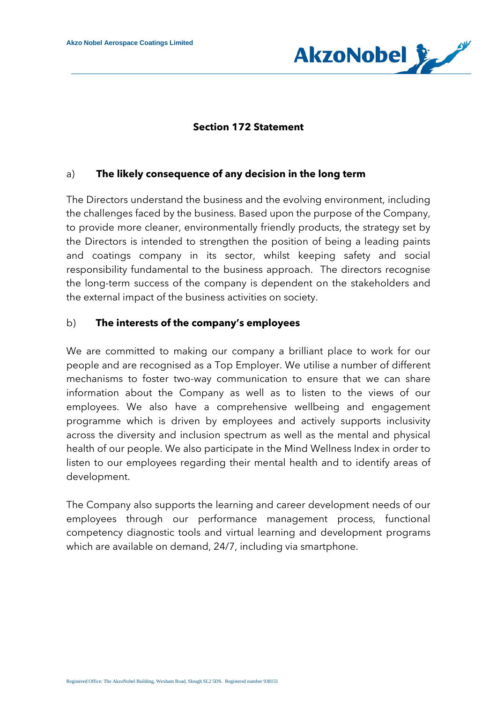

### **Section 172 Statement**

#### a) **The likely consequence of any decision in the long term**

The Directors understand the business and the evolving environment, including the challenges faced by the business. Based upon the purpose of the Company, to provide more cleaner, environmentally friendly products, the strategy set by the Directors is intended to strengthen the position of being a leading paints and coatings company in its sector, whilst keeping safety and social responsibility fundamental to the business approach. The directors recognise the long-term success of the company is dependent on the stakeholders and the external impact of the business activities on society.

#### b) **The interests of the company's employees**

We are committed to making our company a brilliant place to work for our people and are recognised as a Top Employer. We utilise a number of different mechanisms to foster two-way communication to ensure that we can share information about the Company as well as to listen to the views of our employees. We also have a comprehensive wellbeing and engagement programme which is driven by employees and actively supports inclusivity across the diversity and inclusion spectrum as well as the mental and physical health of our people. We also participate in the Mind Wellness Index in order to listen to our employees regarding their mental health and to identify areas of development.

The Company also supports the learning and career development needs of our employees through our performance management process, functional competency diagnostic tools and virtual learning and development programs which are available on demand, 24/7, including via smartphone.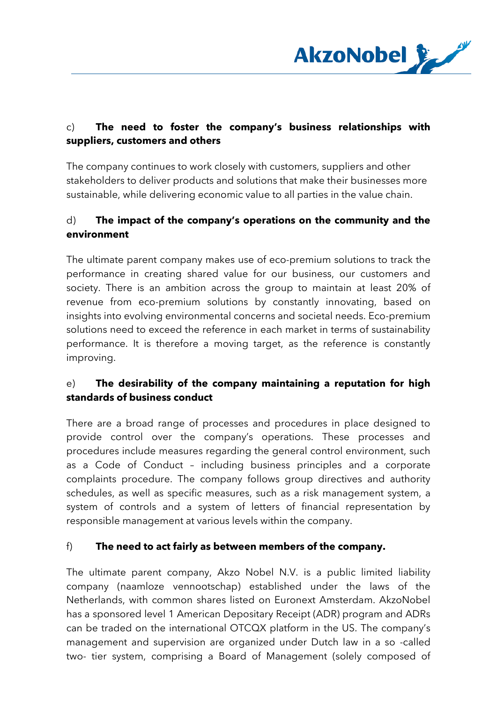

# c) **The need to foster the company's business relationships with suppliers, customers and others**

The company continues to work closely with customers, suppliers and other stakeholders to deliver products and solutions that make their businesses more sustainable, while delivering economic value to all parties in the value chain.

## d) **The impact of the company's operations on the community and the environment**

The ultimate parent company makes use of eco-premium solutions to track the performance in creating shared value for our business, our customers and society. There is an ambition across the group to maintain at least 20% of revenue from eco-premium solutions by constantly innovating, based on insights into evolving environmental concerns and societal needs. Eco-premium solutions need to exceed the reference in each market in terms of sustainability performance. It is therefore a moving target, as the reference is constantly improving.

### e) **The desirability of the company maintaining a reputation for high standards of business conduct**

There are a broad range of processes and procedures in place designed to provide control over the company's operations. These processes and procedures include measures regarding the general control environment, such as a Code of Conduct – including business principles and a corporate complaints procedure. The company follows group directives and authority schedules, as well as specific measures, such as a risk management system, a system of controls and a system of letters of financial representation by responsible management at various levels within the company.

### f) **The need to act fairly as between members of the company.**

The ultimate parent company, Akzo Nobel N.V. is a public limited liability company (naamloze vennootschap) established under the laws of the Netherlands, with common shares listed on Euronext Amsterdam. AkzoNobel has a sponsored level 1 American Depositary Receipt (ADR) program and ADRs can be traded on the international OTCQX platform in the US. The company's management and supervision are organized under Dutch law in a so -called two- tier system, comprising a Board of Management (solely composed of